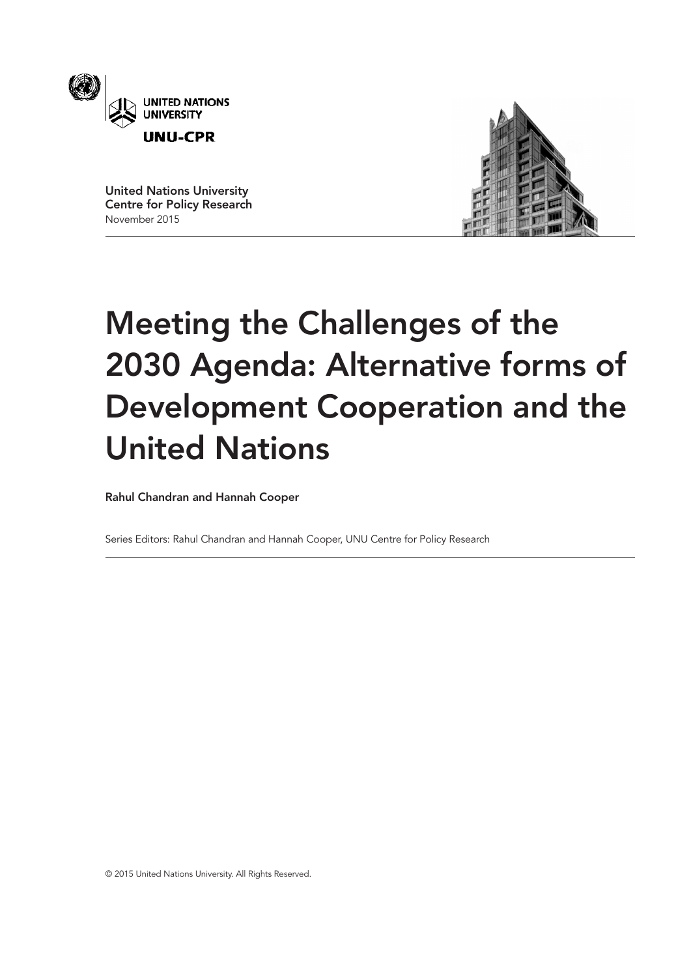

United Nations University Centre for Policy Research November 2015



# Meeting the Challenges of the 2030 Agenda: Alternative forms of Development Cooperation and the United Nations

Rahul Chandran and Hannah Cooper

Series Editors: Rahul Chandran and Hannah Cooper, UNU Centre for Policy Research

© 2015 United Nations University. All Rights Reserved.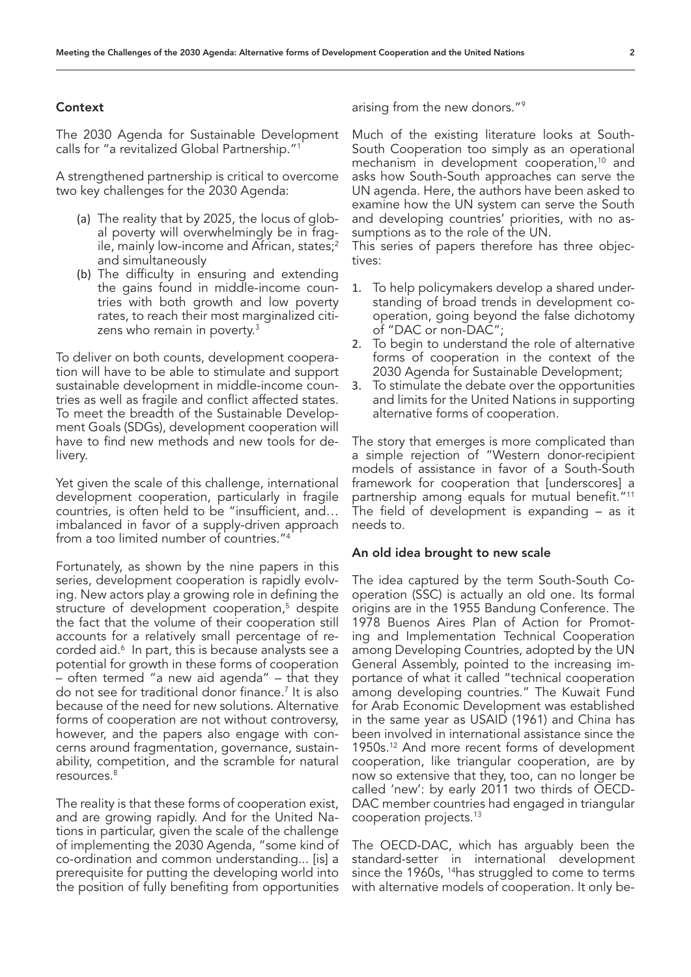#### **Context**

The 2030 Agenda for Sustainable Development calls for "a revitalized Global Partnership."1

A strengthened partnership is critical to overcome two key challenges for the 2030 Agenda:

- (a) The reality that by 2025, the locus of global poverty will overwhelmingly be in fragile, mainly low-income and African, states;<sup>2</sup> and simultaneously
- (b) The difficulty in ensuring and extending the gains found in middle-income countries with both growth and low poverty rates, to reach their most marginalized citizens who remain in poverty.<sup>3</sup>

To deliver on both counts, development cooperation will have to be able to stimulate and support sustainable development in middle-income countries as well as fragile and conflict affected states. To meet the breadth of the Sustainable Development Goals (SDGs), development cooperation will have to find new methods and new tools for delivery.

Yet given the scale of this challenge, international development cooperation, particularly in fragile countries, is often held to be "insufficient, and… imbalanced in favor of a supply-driven approach from a too limited number of countries."4

Fortunately, as shown by the nine papers in this series, development cooperation is rapidly evolving. New actors play a growing role in defining the structure of development cooperation,<sup>5</sup> despite the fact that the volume of their cooperation still accounts for a relatively small percentage of recorded aid.6 In part, this is because analysts see a potential for growth in these forms of cooperation – often termed "a new aid agenda" – that they do not see for traditional donor finance.7 It is also because of the need for new solutions. Alternative forms of cooperation are not without controversy, however, and the papers also engage with concerns around fragmentation, governance, sustainability, competition, and the scramble for natural resources.8

The reality is that these forms of cooperation exist, and are growing rapidly. And for the United Nations in particular, given the scale of the challenge of implementing the 2030 Agenda, "some kind of co-ordination and common understanding... [is] a prerequisite for putting the developing world into the position of fully benefiting from opportunities

arising from the new donors."9

Much of the existing literature looks at South-South Cooperation too simply as an operational mechanism in development cooperation,<sup>10</sup> and asks how South-South approaches can serve the UN agenda. Here, the authors have been asked to examine how the UN system can serve the South and developing countries' priorities, with no assumptions as to the role of the UN.

This series of papers therefore has three objectives:

- 1. To help policymakers develop a shared understanding of broad trends in development cooperation, going beyond the false dichotomy of "DAC or non-DAC";
- 2. To begin to understand the role of alternative forms of cooperation in the context of the 2030 Agenda for Sustainable Development;
- 3. To stimulate the debate over the opportunities and limits for the United Nations in supporting alternative forms of cooperation.

The story that emerges is more complicated than a simple rejection of "Western donor-recipient models of assistance in favor of a South-South framework for cooperation that [underscores] a partnership among equals for mutual benefit."11 The field of development is expanding – as it needs to.

### An old idea brought to new scale

The idea captured by the term South-South Cooperation (SSC) is actually an old one. Its formal origins are in the 1955 Bandung Conference. The 1978 Buenos Aires Plan of Action for Promoting and Implementation Technical Cooperation among Developing Countries, adopted by the UN General Assembly, pointed to the increasing importance of what it called "technical cooperation among developing countries." The Kuwait Fund for Arab Economic Development was established in the same year as USAID (1961) and China has been involved in international assistance since the 1950s.12 And more recent forms of development cooperation, like triangular cooperation, are by now so extensive that they, too, can no longer be called 'new': by early 2011 two thirds of OECD-DAC member countries had engaged in triangular cooperation projects.13

The OECD-DAC, which has arguably been the standard-setter in international development since the 1960s, <sup>14</sup>has struggled to come to terms with alternative models of cooperation. It only be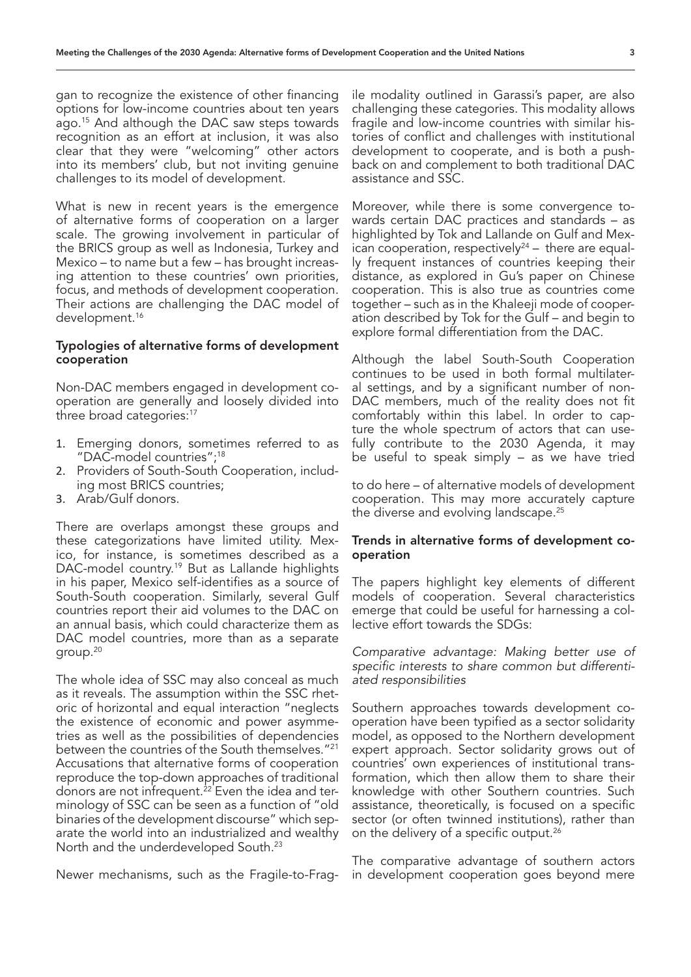gan to recognize the existence of other financing options for low-income countries about ten years ago.15 And although the DAC saw steps towards recognition as an effort at inclusion, it was also clear that they were "welcoming" other actors into its members' club, but not inviting genuine challenges to its model of development.

What is new in recent years is the emergence of alternative forms of cooperation on a larger scale. The growing involvement in particular of the BRICS group as well as Indonesia, Turkey and Mexico – to name but a few – has brought increasing attention to these countries' own priorities, focus, and methods of development cooperation. Their actions are challenging the DAC model of development.<sup>16</sup>

## Typologies of alternative forms of development cooperation

Non-DAC members engaged in development cooperation are generally and loosely divided into three broad categories:<sup>17</sup>

- 1. Emerging donors, sometimes referred to as "DAC-model countries";18
- 2. Providers of South-South Cooperation, including most BRICS countries;
- 3. Arab/Gulf donors.

There are overlaps amongst these groups and these categorizations have limited utility. Mexico, for instance, is sometimes described as a DAC-model country.<sup>19</sup> But as Lallande highlights in his paper, Mexico self-identifies as a source of South-South cooperation. Similarly, several Gulf countries report their aid volumes to the DAC on an annual basis, which could characterize them as DAC model countries, more than as a separate group.20

The whole idea of SSC may also conceal as much as it reveals. The assumption within the SSC rhetoric of horizontal and equal interaction "neglects the existence of economic and power asymmetries as well as the possibilities of dependencies between the countries of the South themselves."21 Accusations that alternative forms of cooperation reproduce the top-down approaches of traditional donors are not infrequent.<sup>22</sup> Even the idea and terminology of SSC can be seen as a function of "old binaries of the development discourse" which separate the world into an industrialized and wealthy North and the underdeveloped South.23

Newer mechanisms, such as the Fragile-to-Frag-

ile modality outlined in Garassi's paper, are also challenging these categories. This modality allows fragile and low-income countries with similar histories of conflict and challenges with institutional development to cooperate, and is both a pushback on and complement to both traditional DAC assistance and SSC.

Moreover, while there is some convergence towards certain DAC practices and standards – as highlighted by Tok and Lallande on Gulf and Mexican cooperation, respectively<sup>24</sup> – there are equally frequent instances of countries keeping their distance, as explored in Gu's paper on Chinese cooperation. This is also true as countries come together – such as in the Khaleeji mode of cooperation described by Tok for the Gulf – and begin to explore formal differentiation from the DAC.

Although the label South-South Cooperation continues to be used in both formal multilateral settings, and by a significant number of non-DAC members, much of the reality does not fit comfortably within this label. In order to capture the whole spectrum of actors that can usefully contribute to the 2030 Agenda, it may be useful to speak simply – as we have tried

to do here – of alternative models of development cooperation. This may more accurately capture the diverse and evolving landscape.<sup>25</sup>

# Trends in alternative forms of development cooperation

The papers highlight key elements of different models of cooperation. Several characteristics emerge that could be useful for harnessing a collective effort towards the SDGs:

*Comparative advantage: Making better use of specific interests to share common but differentiated responsibilities*

Southern approaches towards development cooperation have been typified as a sector solidarity model, as opposed to the Northern development expert approach. Sector solidarity grows out of countries' own experiences of institutional transformation, which then allow them to share their knowledge with other Southern countries. Such assistance, theoretically, is focused on a specific sector (or often twinned institutions), rather than on the delivery of a specific output.<sup>26</sup>

The comparative advantage of southern actors in development cooperation goes beyond mere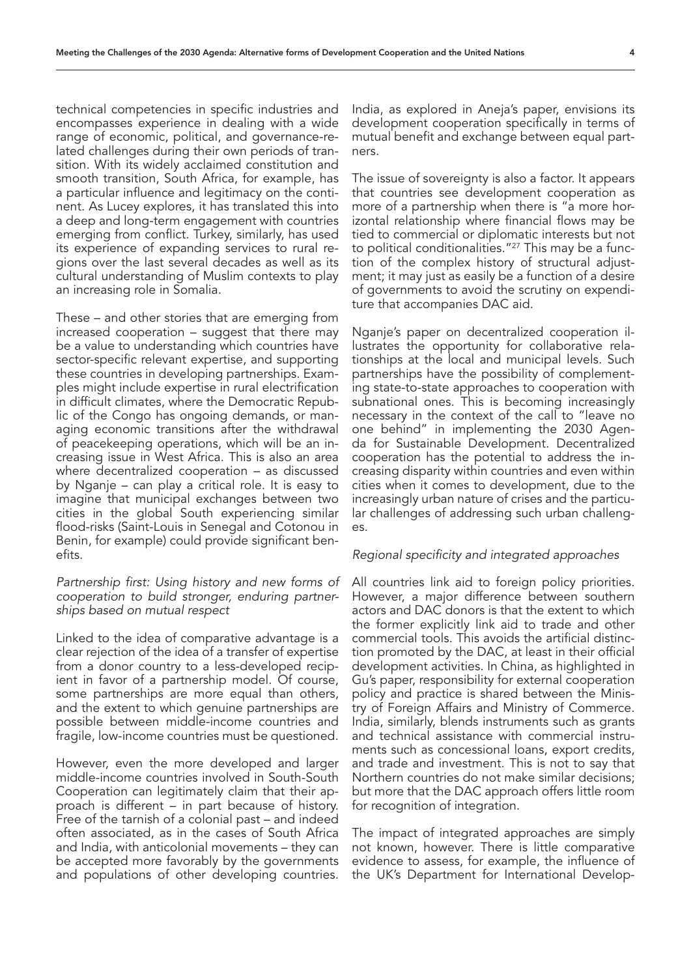technical competencies in specific industries and encompasses experience in dealing with a wide range of economic, political, and governance-related challenges during their own periods of transition. With its widely acclaimed constitution and smooth transition, South Africa, for example, has a particular influence and legitimacy on the continent. As Lucey explores, it has translated this into a deep and long-term engagement with countries emerging from conflict. Turkey, similarly, has used its experience of expanding services to rural regions over the last several decades as well as its cultural understanding of Muslim contexts to play an increasing role in Somalia.

These – and other stories that are emerging from increased cooperation – suggest that there may be a value to understanding which countries have sector-specific relevant expertise, and supporting these countries in developing partnerships. Examples might include expertise in rural electrification in difficult climates, where the Democratic Republic of the Congo has ongoing demands, or managing economic transitions after the withdrawal of peacekeeping operations, which will be an increasing issue in West Africa. This is also an area where decentralized cooperation – as discussed by Nganje – can play a critical role. It is easy to imagine that municipal exchanges between two cities in the global South experiencing similar flood-risks (Saint-Louis in Senegal and Cotonou in Benin, for example) could provide significant benefits.

# *Partnership first: Using history and new forms of cooperation to build stronger, enduring partnerships based on mutual respect*

Linked to the idea of comparative advantage is a clear rejection of the idea of a transfer of expertise from a donor country to a less-developed recipient in favor of a partnership model. Of course, some partnerships are more equal than others, and the extent to which genuine partnerships are possible between middle-income countries and fragile, low-income countries must be questioned.

However, even the more developed and larger middle-income countries involved in South-South Cooperation can legitimately claim that their approach is different – in part because of history. Free of the tarnish of a colonial past – and indeed often associated, as in the cases of South Africa and India, with anticolonial movements – they can be accepted more favorably by the governments and populations of other developing countries.

India, as explored in Aneja's paper, envisions its development cooperation specifically in terms of mutual benefit and exchange between equal partners.

The issue of sovereignty is also a factor. It appears that countries see development cooperation as more of a partnership when there is "a more horizontal relationship where financial flows may be tied to commercial or diplomatic interests but not to political conditionalities."<sup>27</sup> This may be a function of the complex history of structural adjustment; it may just as easily be a function of a desire of governments to avoid the scrutiny on expenditure that accompanies DAC aid.

Nganje's paper on decentralized cooperation illustrates the opportunity for collaborative relationships at the local and municipal levels. Such partnerships have the possibility of complementing state-to-state approaches to cooperation with subnational ones. This is becoming increasingly necessary in the context of the call to "leave no one behind" in implementing the 2030 Agenda for Sustainable Development. Decentralized cooperation has the potential to address the increasing disparity within countries and even within cities when it comes to development, due to the increasingly urban nature of crises and the particular challenges of addressing such urban challenges.

## *Regional specificity and integrated approaches*

All countries link aid to foreign policy priorities. However, a major difference between southern actors and DAC donors is that the extent to which the former explicitly link aid to trade and other commercial tools. This avoids the artificial distinction promoted by the DAC, at least in their official development activities. In China, as highlighted in Gu's paper, responsibility for external cooperation policy and practice is shared between the Ministry of Foreign Affairs and Ministry of Commerce. India, similarly, blends instruments such as grants and technical assistance with commercial instruments such as concessional loans, export credits, and trade and investment. This is not to say that Northern countries do not make similar decisions; but more that the DAC approach offers little room for recognition of integration.

The impact of integrated approaches are simply not known, however. There is little comparative evidence to assess, for example, the influence of the UK's Department for International Develop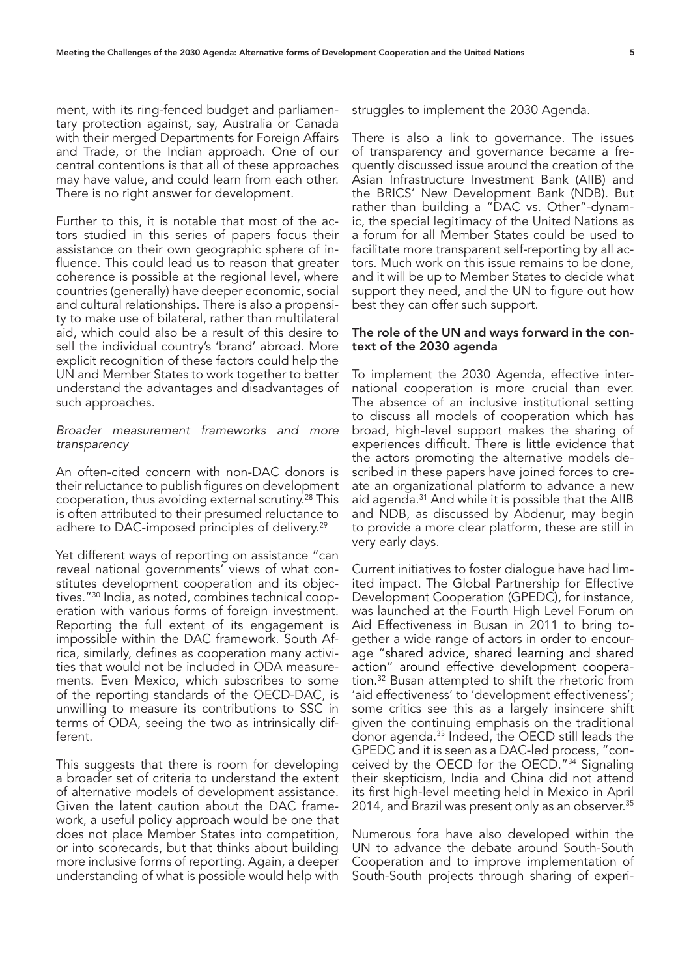ment, with its ring-fenced budget and parliamentary protection against, say, Australia or Canada with their merged Departments for Foreign Affairs and Trade, or the Indian approach. One of our central contentions is that all of these approaches may have value, and could learn from each other. There is no right answer for development.

Further to this, it is notable that most of the actors studied in this series of papers focus their assistance on their own geographic sphere of influence. This could lead us to reason that greater coherence is possible at the regional level, where countries (generally) have deeper economic, social and cultural relationships. There is also a propensity to make use of bilateral, rather than multilateral aid, which could also be a result of this desire to sell the individual country's 'brand' abroad. More explicit recognition of these factors could help the UN and Member States to work together to better understand the advantages and disadvantages of such approaches.

# *Broader measurement frameworks and more transparency*

An often-cited concern with non-DAC donors is their reluctance to publish figures on development cooperation, thus avoiding external scrutiny.28 This is often attributed to their presumed reluctance to adhere to DAC-imposed principles of delivery.<sup>29</sup>

Yet different ways of reporting on assistance "can reveal national governments' views of what constitutes development cooperation and its objectives."30 India, as noted, combines technical cooperation with various forms of foreign investment. Reporting the full extent of its engagement is impossible within the DAC framework. South Africa, similarly, defines as cooperation many activities that would not be included in ODA measurements. Even Mexico, which subscribes to some of the reporting standards of the OECD-DAC, is unwilling to measure its contributions to SSC in terms of ODA, seeing the two as intrinsically different.

This suggests that there is room for developing a broader set of criteria to understand the extent of alternative models of development assistance. Given the latent caution about the DAC framework, a useful policy approach would be one that does not place Member States into competition, or into scorecards, but that thinks about building more inclusive forms of reporting. Again, a deeper understanding of what is possible would help with struggles to implement the 2030 Agenda.

There is also a link to governance. The issues of transparency and governance became a frequently discussed issue around the creation of the Asian Infrastructure Investment Bank (AIIB) and the BRICS' New Development Bank (NDB). But rather than building a "DAC vs. Other"-dynamic, the special legitimacy of the United Nations as a forum for all Member States could be used to facilitate more transparent self-reporting by all actors. Much work on this issue remains to be done, and it will be up to Member States to decide what support they need, and the UN to figure out how best they can offer such support.

# The role of the UN and ways forward in the context of the 2030 agenda

To implement the 2030 Agenda, effective international cooperation is more crucial than ever. The absence of an inclusive institutional setting to discuss all models of cooperation which has broad, high-level support makes the sharing of experiences difficult. There is little evidence that the actors promoting the alternative models described in these papers have joined forces to create an organizational platform to advance a new aid agenda.<sup>31</sup> And while it is possible that the AIIB and NDB, as discussed by Abdenur, may begin to provide a more clear platform, these are still in very early days.

Current initiatives to foster dialogue have had limited impact. The Global Partnership for Effective Development Cooperation (GPEDC), for instance, was launched at the Fourth High Level Forum on Aid Effectiveness in Busan in 2011 to bring together a wide range of actors in order to encourage "shared advice, shared learning and shared action" around effective development cooperation.32 Busan attempted to shift the rhetoric from 'aid effectiveness' to 'development effectiveness'; some critics see this as a largely insincere shift given the continuing emphasis on the traditional donor agenda.33 Indeed, the OECD still leads the GPEDC and it is seen as a DAC-led process, "conceived by the OECD for the OECD."34 Signaling their skepticism, India and China did not attend its first high-level meeting held in Mexico in April 2014, and Brazil was present only as an observer.<sup>35</sup>

Numerous fora have also developed within the UN to advance the debate around South-South Cooperation and to improve implementation of South-South projects through sharing of experi-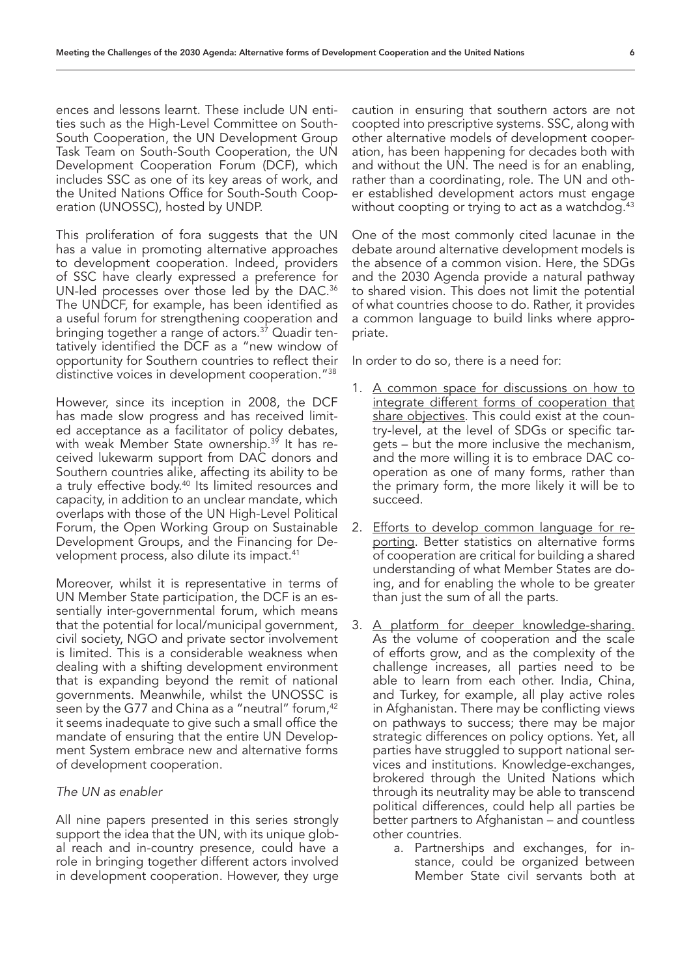ences and lessons learnt. These include UN entities such as the High-Level Committee on South-South Cooperation, the UN Development Group Task Team on South-South Cooperation, the UN Development Cooperation Forum (DCF), which includes SSC as one of its key areas of work, and the United Nations Office for South-South Cooperation (UNOSSC), hosted by UNDP.

This proliferation of fora suggests that the UN has a value in promoting alternative approaches to development cooperation. Indeed, providers of SSC have clearly expressed a preference for UN-led processes over those led by the DAC.<sup>36</sup> The UNDCF, for example, has been identified as a useful forum for strengthening cooperation and bringing together a range of actors.<sup>37</sup> Quadir tentatively identified the DCF as a "new window of opportunity for Southern countries to reflect their distinctive voices in development cooperation."38

However, since its inception in 2008, the DCF has made slow progress and has received limited acceptance as a facilitator of policy debates, with weak Member State ownership.<sup>39</sup> It has received lukewarm support from DAC donors and Southern countries alike, affecting its ability to be a truly effective body.<sup>40</sup> Its limited resources and capacity, in addition to an unclear mandate, which overlaps with those of the UN High-Level Political Forum, the Open Working Group on Sustainable Development Groups, and the Financing for Development process, also dilute its impact.<sup>41</sup>

Moreover, whilst it is representative in terms of UN Member State participation, the DCF is an essentially inter-governmental forum, which means that the potential for local/municipal government, civil society, NGO and private sector involvement is limited. This is a considerable weakness when dealing with a shifting development environment that is expanding beyond the remit of national governments. Meanwhile, whilst the UNOSSC is seen by the G77 and China as a "neutral" forum,<sup>42</sup> it seems inadequate to give such a small office the mandate of ensuring that the entire UN Development System embrace new and alternative forms of development cooperation.

# *The UN as enabler*

All nine papers presented in this series strongly support the idea that the UN, with its unique global reach and in-country presence, could have a role in bringing together different actors involved in development cooperation. However, they urge

caution in ensuring that southern actors are not coopted into prescriptive systems. SSC, along with other alternative models of development cooperation, has been happening for decades both with and without the UN. The need is for an enabling, rather than a coordinating, role. The UN and other established development actors must engage without coopting or trying to act as a watchdog.<sup>43</sup>

One of the most commonly cited lacunae in the debate around alternative development models is the absence of a common vision. Here, the SDGs and the 2030 Agenda provide a natural pathway to shared vision. This does not limit the potential of what countries choose to do. Rather, it provides a common language to build links where appropriate.

In order to do so, there is a need for:

- 1. A common space for discussions on how to integrate different forms of cooperation that share objectives. This could exist at the country-level, at the level of SDGs or specific targets – but the more inclusive the mechanism, and the more willing it is to embrace DAC cooperation as one of many forms, rather than the primary form, the more likely it will be to succeed.
- 2. Efforts to develop common language for reporting. Better statistics on alternative forms of cooperation are critical for building a shared understanding of what Member States are doing, and for enabling the whole to be greater than just the sum of all the parts.
- 3. A platform for deeper knowledge-sharing. As the volume of cooperation and the scale of efforts grow, and as the complexity of the challenge increases, all parties need to be able to learn from each other. India, China, and Turkey, for example, all play active roles in Afghanistan. There may be conflicting views on pathways to success; there may be major strategic differences on policy options. Yet, all parties have struggled to support national services and institutions. Knowledge-exchanges, brokered through the United Nations which through its neutrality may be able to transcend political differences, could help all parties be better partners to Afghanistan – and countless other countries.
	- a. Partnerships and exchanges, for instance, could be organized between Member State civil servants both at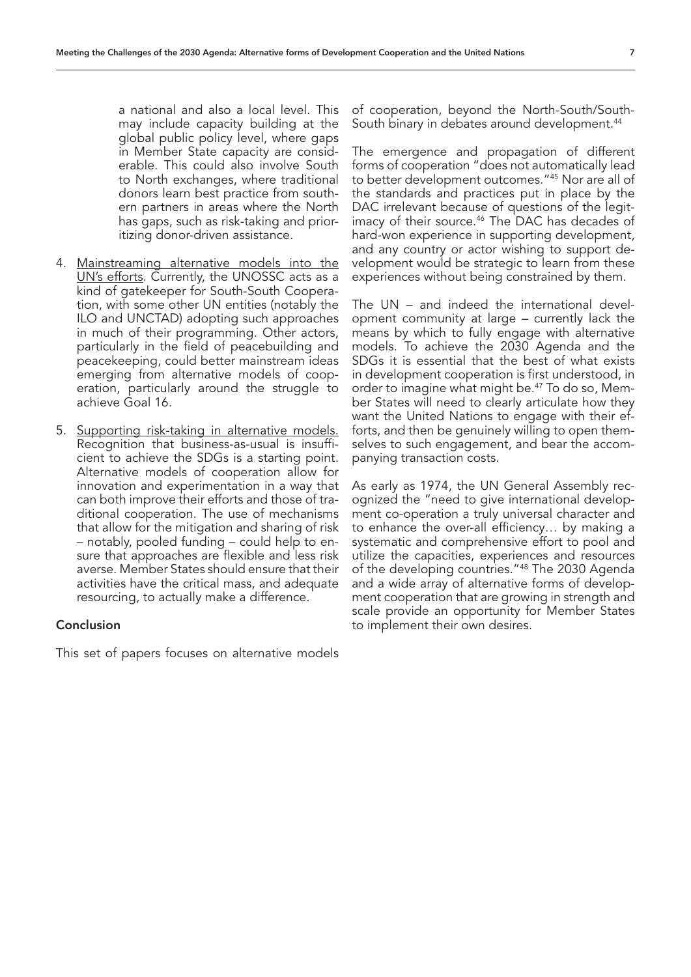a national and also a local level. This may include capacity building at the global public policy level, where gaps in Member State capacity are considerable. This could also involve South to North exchanges, where traditional donors learn best practice from southern partners in areas where the North has gaps, such as risk-taking and prioritizing donor-driven assistance.

- 4. Mainstreaming alternative models into the UN's efforts. Currently, the UNOSSC acts as a kind of gatekeeper for South-South Cooperation, with some other UN entities (notably the ILO and UNCTAD) adopting such approaches in much of their programming. Other actors, particularly in the field of peacebuilding and peacekeeping, could better mainstream ideas emerging from alternative models of cooperation, particularly around the struggle to achieve Goal 16.
- 5. Supporting risk-taking in alternative models. Recognition that business-as-usual is insufficient to achieve the SDGs is a starting point. Alternative models of cooperation allow for innovation and experimentation in a way that can both improve their efforts and those of traditional cooperation. The use of mechanisms that allow for the mitigation and sharing of risk – notably, pooled funding – could help to ensure that approaches are flexible and less risk averse. Member States should ensure that their activities have the critical mass, and adequate resourcing, to actually make a difference.

## Conclusion

This set of papers focuses on alternative models

of cooperation, beyond the North-South/South-South binary in debates around development.<sup>44</sup>

The emergence and propagation of different forms of cooperation "does not automatically lead to better development outcomes."45 Nor are all of the standards and practices put in place by the DAC irrelevant because of questions of the legitimacy of their source.<sup>46</sup> The DAC has decades of hard-won experience in supporting development, and any country or actor wishing to support development would be strategic to learn from these experiences without being constrained by them.

The UN – and indeed the international development community at large – currently lack the means by which to fully engage with alternative models. To achieve the 2030 Agenda and the SDGs it is essential that the best of what exists in development cooperation is first understood, in order to imagine what might be.47 To do so, Member States will need to clearly articulate how they want the United Nations to engage with their efforts, and then be genuinely willing to open themselves to such engagement, and bear the accompanying transaction costs.

As early as 1974, the UN General Assembly recognized the "need to give international development co-operation a truly universal character and to enhance the over-all efficiency… by making a systematic and comprehensive effort to pool and utilize the capacities, experiences and resources of the developing countries."<sup>48</sup> The 2030 Agenda and a wide array of alternative forms of development cooperation that are growing in strength and scale provide an opportunity for Member States to implement their own desires.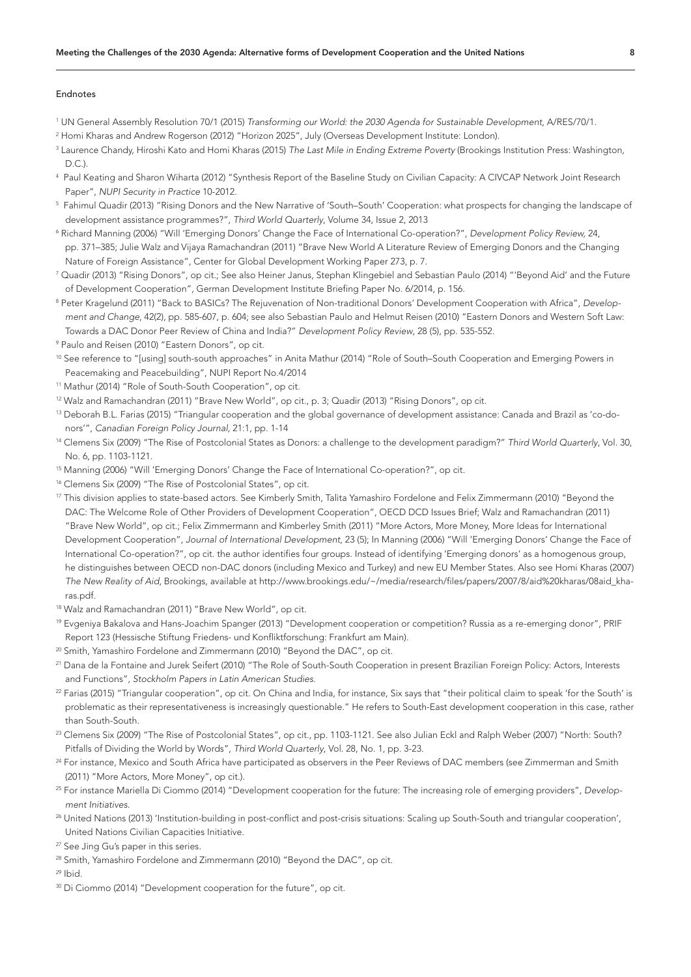#### Endnotes

- 1 UN General Assembly Resolution 70/1 (2015) *Transforming our World: the 2030 Agenda for Sustainable Development*, A/RES/70/1.
- 2 Homi Kharas and Andrew Rogerson (2012) "Horizon 2025", July (Overseas Development Institute: London).
- 3 Laurence Chandy, Hiroshi Kato and Homi Kharas (2015) *The Last Mile in Ending Extreme Poverty* (Brookings Institution Press: Washington,  $D<sub>C</sub>$
- 4 Paul Keating and Sharon Wiharta (2012) "Synthesis Report of the Baseline Study on Civilian Capacity: A CIVCAP Network Joint Research Paper", *NUPI Security in Practice* 10-2012.
- $^5\,$  Fahimul Quadir (2013) "Rising Donors and the New Narrative of 'South–South' Cooperation: what prospects for changing the landscape of development assistance programmes?", *Third World Quarterly*, Volume 34, Issue 2, 2013
- 6 Richard Manning (2006) "Will 'Emerging Donors' Change the Face of International Co-operation?", *Development Policy Review,* 24, pp. 371–385; Julie Walz and Vijaya Ramachandran (2011) "Brave New World A Literature Review of Emerging Donors and the Changing Nature of Foreign Assistance", Center for Global Development Working Paper 273, p. 7.
- 7 Quadir (2013) "Rising Donors", op cit.; See also Heiner Janus, Stephan Klingebiel and Sebastian Paulo (2014) "'Beyond Aid' and the Future of Development Cooperation", German Development Institute Briefing Paper No. 6/2014, p. 156.
- 8 Peter Kragelund (2011) "Back to BASICs? The Rejuvenation of Non-traditional Donors' Development Cooperation with Africa", *Development and Change*, 42(2), pp. 585-607, p. 604; see also Sebastian Paulo and Helmut Reisen (2010) "Eastern Donors and Western Soft Law: Towards a DAC Donor Peer Review of China and India?" *Development Policy Review*, 28 (5), pp. 535-552.
- 9 Paulo and Reisen (2010) "Eastern Donors", op cit.
- 10 See reference to "[using] south-south approaches" in Anita Mathur (2014) "Role of South–South Cooperation and Emerging Powers in Peacemaking and Peacebuilding", NUPI Report No.4/2014
- <sup>11</sup> Mathur (2014) "Role of South-South Cooperation", op cit.
- 12 Walz and Ramachandran (2011) "Brave New World", op cit., p. 3; Quadir (2013) "Rising Donors", op cit.
- 13 Deborah B.L. Farias (2015) "Triangular cooperation and the global governance of development assistance: Canada and Brazil as 'co-donors'", *Canadian Foreign Policy Journal,* 21:1, pp. 1-14
- 14 Clemens Six (2009) "The Rise of Postcolonial States as Donors: a challenge to the development paradigm?" *Third World Quarterly*, Vol. 30, No. 6, pp. 1103-1121.
- 15 Manning (2006) "Will 'Emerging Donors' Change the Face of International Co-operation?", op cit.
- <sup>16</sup> Clemens Six (2009) "The Rise of Postcolonial States", op cit.
- <sup>17</sup> This division applies to state-based actors. See Kimberly Smith, Talita Yamashiro Fordelone and Felix Zimmermann (2010) "Beyond the DAC: The Welcome Role of Other Providers of Development Cooperation", OECD DCD Issues Brief; Walz and Ramachandran (2011) "Brave New World", op cit.; Felix Zimmermann and Kimberley Smith (2011) "More Actors, More Money, More Ideas for International Development Cooperation", *Journal of International Development*, 23 (5); In Manning (2006) "Will 'Emerging Donors' Change the Face of International Co-operation?", op cit. the author identifies four groups. Instead of identifying 'Emerging donors' as a homogenous group, he distinguishes between OECD non-DAC donors (including Mexico and Turkey) and new EU Member States. Also see Homi Kharas (2007) *The New Reality of Aid*, Brookings, available at http://www.brookings.edu/~/media/research/files/papers/2007/8/aid%20kharas/08aid\_kharas.pdf.
- 18 Walz and Ramachandran (2011) "Brave New World", op cit.
- 19 Evgeniya Bakalova and Hans-Joachim Spanger (2013) "Development cooperation or competition? Russia as a re-emerging donor", PRIF Report 123 (Hessische Stiftung Friedens- und Konfliktforschung: Frankfurt am Main).
- <sup>20</sup> Smith, Yamashiro Fordelone and Zimmermann (2010) "Beyond the DAC", op cit.
- 21 Dana de la Fontaine and Jurek Seifert (2010) "The Role of South-South Cooperation in present Brazilian Foreign Policy: Actors, Interests and Functions", *Stockholm Papers in Latin American Studies*.
- <sup>22</sup> Farias (2015) "Triangular cooperation", op cit. On China and India, for instance, Six says that "their political claim to speak 'for the South' is problematic as their representativeness is increasingly questionable." He refers to South-East development cooperation in this case, rather than South-South.
- <sup>23</sup> Clemens Six (2009) "The Rise of Postcolonial States", op cit., pp. 1103-1121. See also Julian Eckl and Ralph Weber (2007) "North: South? Pitfalls of Dividing the World by Words", *Third World Quarterly*, Vol. 28, No. 1, pp. 3-23.
- <sup>24</sup> For instance, Mexico and South Africa have participated as observers in the Peer Reviews of DAC members (see Zimmerman and Smith (2011) "More Actors, More Money", op cit.).
- 25 For instance Mariella Di Ciommo (2014) "Development cooperation for the future: The increasing role of emerging providers", *Development Initiatives*.
- <sup>26</sup> United Nations (2013) 'Institution-building in post-conflict and post-crisis situations: Scaling up South-South and triangular cooperation', United Nations Civilian Capacities Initiative.
- <sup>27</sup> See Jing Gu's paper in this series.
- <sup>28</sup> Smith, Yamashiro Fordelone and Zimmermann (2010) "Bevond the DAC", op cit.

29 Ibid.

<sup>30</sup> Di Ciommo (2014) "Development cooperation for the future", op cit.